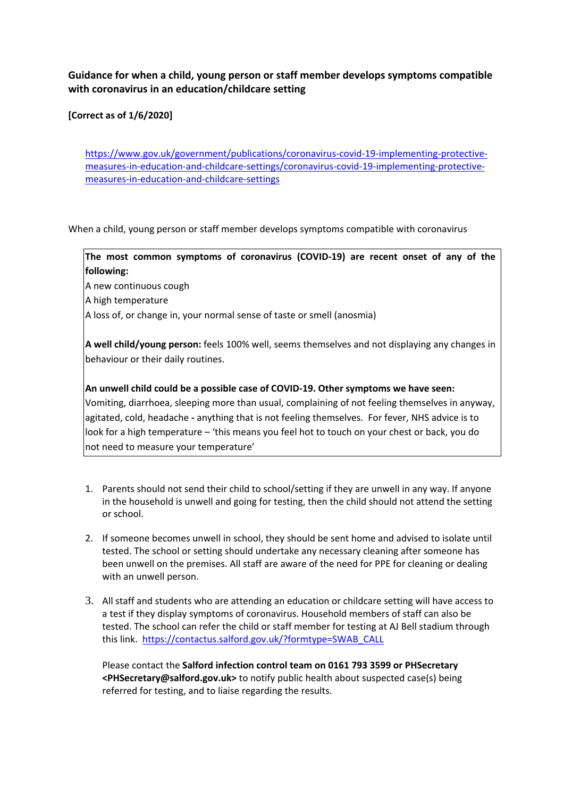## **Guidance for when a child, young person or staff member develops symptoms compatible with coronavirus in an education/childcare setting**

**[Correct as of 1/6/2020]**

[https://www.gov.uk/government/publications/coronavirus-covid-19-implementing-protective](https://www.gov.uk/government/publications/coronavirus-covid-19-implementing-protective-measures-in-education-and-childcare-settings/coronavirus-covid-19-implementing-protective-measures-in-education-and-childcare-settings)[measures-in-education-and-childcare-settings/coronavirus-covid-19-implementing-protective](https://www.gov.uk/government/publications/coronavirus-covid-19-implementing-protective-measures-in-education-and-childcare-settings/coronavirus-covid-19-implementing-protective-measures-in-education-and-childcare-settings)[measures-in-education-and-childcare-settings](https://www.gov.uk/government/publications/coronavirus-covid-19-implementing-protective-measures-in-education-and-childcare-settings/coronavirus-covid-19-implementing-protective-measures-in-education-and-childcare-settings)

When a child, young person or staff member develops symptoms compatible with coronavirus

**The most common symptoms of coronavirus (COVID-19) are recent onset of any of the following:**

A new continuous cough

A high temperature

A loss of, or change in, your normal sense of taste or smell (anosmia)

**A well child/young person:** feels 100% well, seems themselves and not displaying any changes in behaviour or their daily routines.

**An unwell child could be a possible case of COVID-19. Other symptoms we have seen:**  Vomiting, diarrhoea, sleeping more than usual, complaining of not feeling themselves in anyway, agitated, cold, headache **-** anything that is not feeling themselves. For fever, NHS advice is to look for a high temperature – 'this means you feel hot to touch on your chest or back, you do not need to measure your temperature'

- 1. Parents should not send their child to school/setting if they are unwell in any way. If anyone in the household is unwell and going for testing, then the child should not attend the setting or school.
- 2. If someone becomes unwell in school, they should be sent home and advised to isolate until tested. The school or setting should undertake any necessary cleaning after someone has been unwell on the premises. All staff are aware of the need for PPE for cleaning or dealing with an unwell person.
- 3. All staff and students who are attending an education or childcare setting will have access to a test if they display symptoms of coronavirus. Household members of staff can also be tested. The school can refer the child or staff member for testing at AJ Bell stadium through this link. [https://contactus.salford.gov.uk/?formtype=SWAB\\_CALL](https://contactus.salford.gov.uk/?formtype=SWAB_CALL)

Please contact the **Salford infection control team on 0161 793 3599 or PHSecretary <PHSecretary@salford.gov.uk>** to notify public health about suspected case(s) being referred for testing, and to liaise regarding the results.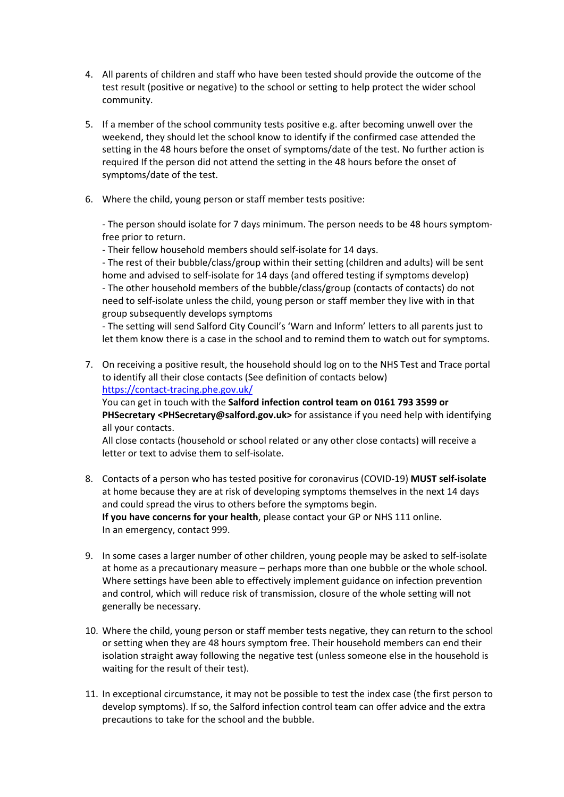- 4. All parents of children and staff who have been tested should provide the outcome of the test result (positive or negative) to the school or setting to help protect the wider school community.
- 5. If a member of the school community tests positive e.g. after becoming unwell over the weekend, they should let the school know to identify if the confirmed case attended the setting in the 48 hours before the onset of symptoms/date of the test. No further action is required If the person did not attend the setting in the 48 hours before the onset of symptoms/date of the test.
- 6. Where the child, young person or staff member tests positive:

- The person should isolate for 7 days minimum. The person needs to be 48 hours symptomfree prior to return.

- Their fellow household members should self-isolate for 14 days.

- The rest of their bubble/class/group within their setting (children and adults) will be sent home and advised to self-isolate for 14 days (and offered testing if symptoms develop) - The other household members of the bubble/class/group (contacts of contacts) do not need to self-isolate unless the child, young person or staff member they live with in that group subsequently develops symptoms

- The setting will send Salford City Council's 'Warn and Inform' letters to all parents just to let them know there is a case in the school and to remind them to watch out for symptoms.

7. On receiving a positive result, the household should log on to the NHS Test and Trace portal to identify all their close contacts (See definition of contacts below) <https://contact-tracing.phe.gov.uk/>

You can get in touch with the **Salford infection control team on 0161 793 3599 or PHSecretary <PHSecretary@salford.gov.uk>** for assistance if you need help with identifying all your contacts.

All close contacts (household or school related or any other close contacts) will receive a letter or text to advise them to self-isolate.

- 8. Contacts of a person who has tested positive for coronavirus (COVID-19) **MUST self-isolate** at home because they are at risk of developing symptoms themselves in the next 14 days and could spread the virus to others before the symptoms begin. **If you have concerns for your health**, please contact your GP or NHS 111 online. In an emergency, contact 999.
- 9. In some cases a larger number of other children, young people may be asked to self-isolate at home as a precautionary measure – perhaps more than one bubble or the whole school. Where settings have been able to effectively implement guidance on infection prevention and control, which will reduce risk of transmission, closure of the whole setting will not generally be necessary.
- 10. Where the child, young person or staff member tests negative, they can return to the school or setting when they are 48 hours symptom free. Their household members can end their isolation straight away following the negative test (unless someone else in the household is waiting for the result of their test).
- 11. In exceptional circumstance, it may not be possible to test the index case (the first person to develop symptoms). If so, the Salford infection control team can offer advice and the extra precautions to take for the school and the bubble.